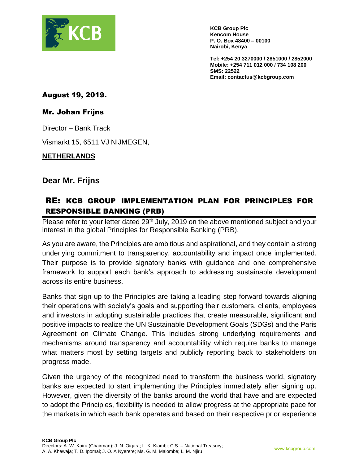

**KCB Group Plc Kencom House P. O. Box 48400 – 00100 Nairobi, Kenya**

**Tel: +254 20 3270000 / 2851000 / 2852000 Mobile: +254 711 012 000 / 734 108 200 SMS: 22522 Email: contactus@kcbgroup.com**

August 19, 2019.

### Mr. Johan Frijns

Director – Bank Track

Vismarkt 15, 6511 VJ NIJMEGEN,

#### **NETHERLANDS**

## **Dear Mr. Frijns**

# RE: KCB GROUP IMPLEMENTATION PLAN FOR PRINCIPLES FOR RESPONSIBLE BANKING (PRB)

Please refer to your letter dated 29<sup>th</sup> July, 2019 on the above mentioned subject and your interest in the global Principles for Responsible Banking (PRB).

As you are aware, the Principles are ambitious and aspirational, and they contain a strong underlying commitment to transparency, accountability and impact once implemented. Their purpose is to provide signatory banks with guidance and one comprehensive framework to support each bank's approach to addressing sustainable development across its entire business.

Banks that sign up to the Principles are taking a leading step forward towards aligning their operations with society's goals and supporting their customers, clients, employees and investors in adopting sustainable practices that create measurable, significant and positive impacts to realize the UN Sustainable Development Goals (SDGs) and the Paris Agreement on Climate Change. This includes strong underlying requirements and mechanisms around transparency and accountability which require banks to manage what matters most by setting targets and publicly reporting back to stakeholders on progress made.

Given the urgency of the recognized need to transform the business world, signatory banks are expected to start implementing the Principles immediately after signing up. However, given the diversity of the banks around the world that have and are expected to adopt the Principles, flexibility is needed to allow progress at the appropriate pace for the markets in which each bank operates and based on their respective prior experience